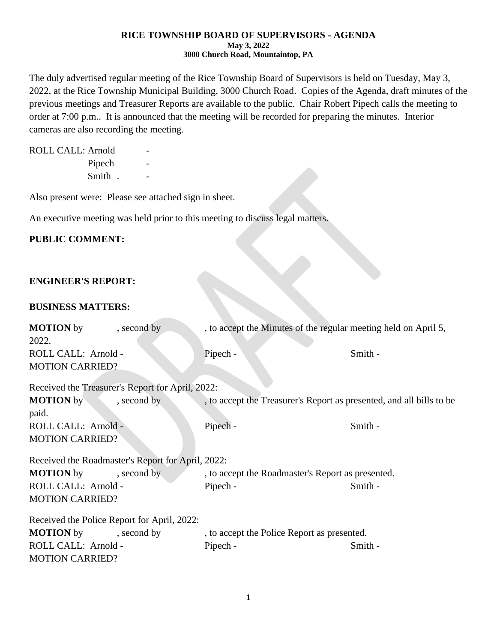#### **RICE TOWNSHIP BOARD OF SUPERVISORS - AGENDA May 3, 2022 3000 Church Road, Mountaintop, PA**

The duly advertised regular meeting of the Rice Township Board of Supervisors is held on Tuesday, May 3, 2022, at the Rice Township Municipal Building, 3000 Church Road. Copies of the Agenda, draft minutes of the previous meetings and Treasurer Reports are available to the public. Chair Robert Pipech calls the meeting to order at 7:00 p.m.. It is announced that the meeting will be recorded for preparing the minutes. Interior cameras are also recording the meeting.

ROLL CALL: Arnold Pipech Smith . -

Also present were: Please see attached sign in sheet.

An executive meeting was held prior to this meeting to discuss legal matters.

## **PUBLIC COMMENT:**

## **ENGINEER'S REPORT:**

### **BUSINESS MATTERS:**

| <b>MOTION</b> by                                 | , second by                                       | , to accept the Minutes of the regular meeting held on April 5,      |         |  |  |  |
|--------------------------------------------------|---------------------------------------------------|----------------------------------------------------------------------|---------|--|--|--|
| 2022.                                            |                                                   |                                                                      |         |  |  |  |
| ROLL CALL: Arnold -                              |                                                   | Pipech -                                                             | Smith - |  |  |  |
| <b>MOTION CARRIED?</b>                           |                                                   |                                                                      |         |  |  |  |
|                                                  |                                                   |                                                                      |         |  |  |  |
| Received the Treasurer's Report for April, 2022: |                                                   |                                                                      |         |  |  |  |
| <b>MOTION</b> by                                 | , second by                                       | , to accept the Treasurer's Report as presented, and all bills to be |         |  |  |  |
| paid.                                            |                                                   |                                                                      |         |  |  |  |
| ROLL CALL: Arnold -                              |                                                   | Pipech -                                                             | Smith - |  |  |  |
| <b>MOTION CARRIED?</b>                           |                                                   |                                                                      |         |  |  |  |
|                                                  |                                                   |                                                                      |         |  |  |  |
|                                                  | Received the Roadmaster's Report for April, 2022: |                                                                      |         |  |  |  |
| <b>MOTION</b> by                                 | , second by                                       | , to accept the Roadmaster's Report as presented.                    |         |  |  |  |
| ROLL CALL: Arnold -                              |                                                   | Pipech -                                                             | Smith - |  |  |  |
| <b>MOTION CARRIED?</b>                           |                                                   |                                                                      |         |  |  |  |
|                                                  | Received the Police Report for April, 2022:       |                                                                      |         |  |  |  |
|                                                  |                                                   |                                                                      |         |  |  |  |
| <b>MOTION</b> by                                 | , second by                                       | , to accept the Police Report as presented.                          |         |  |  |  |
| ROLL CALL: Arnold -                              |                                                   | Pipech -                                                             | Smith - |  |  |  |
| <b>MOTION CARRIED?</b>                           |                                                   |                                                                      |         |  |  |  |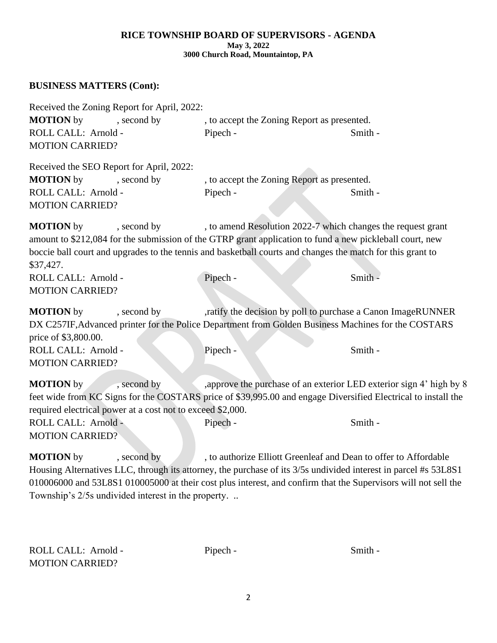#### **RICE TOWNSHIP BOARD OF SUPERVISORS - AGENDA May 3, 2022 3000 Church Road, Mountaintop, PA**

# **BUSINESS MATTERS (Cont):**

| Received the Zoning Report for April, 2022:                                                                                                                                                                                                                                                                                            |             |                                                                                                                                                                                       |         |  |  |
|----------------------------------------------------------------------------------------------------------------------------------------------------------------------------------------------------------------------------------------------------------------------------------------------------------------------------------------|-------------|---------------------------------------------------------------------------------------------------------------------------------------------------------------------------------------|---------|--|--|
| <b>MOTION</b> by                                                                                                                                                                                                                                                                                                                       | , second by | , to accept the Zoning Report as presented.                                                                                                                                           |         |  |  |
| ROLL CALL: Arnold -                                                                                                                                                                                                                                                                                                                    |             | Pipech -                                                                                                                                                                              | Smith - |  |  |
| <b>MOTION CARRIED?</b>                                                                                                                                                                                                                                                                                                                 |             |                                                                                                                                                                                       |         |  |  |
| Received the SEO Report for April, 2022:                                                                                                                                                                                                                                                                                               |             |                                                                                                                                                                                       |         |  |  |
| <b>MOTION</b> by                                                                                                                                                                                                                                                                                                                       | , second by | , to accept the Zoning Report as presented.                                                                                                                                           |         |  |  |
| ROLL CALL: Arnold -                                                                                                                                                                                                                                                                                                                    |             | Pipech -                                                                                                                                                                              | Smith - |  |  |
| <b>MOTION CARRIED?</b>                                                                                                                                                                                                                                                                                                                 |             |                                                                                                                                                                                       |         |  |  |
| <b>MOTION</b> by<br>, to amend Resolution 2022-7 which changes the request grant<br>, second by<br>amount to \$212,084 for the submission of the GTRP grant application to fund a new pickleball court, new<br>boccie ball court and upgrades to the tennis and basketball courts and changes the match for this grant to<br>\$37,427. |             |                                                                                                                                                                                       |         |  |  |
| ROLL CALL: Arnold -                                                                                                                                                                                                                                                                                                                    |             | Pipech -                                                                                                                                                                              | Smith - |  |  |
| <b>MOTION CARRIED?</b>                                                                                                                                                                                                                                                                                                                 |             |                                                                                                                                                                                       |         |  |  |
| <b>MOTION</b> by<br>price of \$3,800.00.<br>ROLL CALL: Arnold -                                                                                                                                                                                                                                                                        | , second by | ,ratify the decision by poll to purchase a Canon ImageRUNNER<br>DX C257IF, Advanced printer for the Police Department from Golden Business Machines for the COSTARS<br>Pipech -       | Smith - |  |  |
| <b>MOTION CARRIED?</b>                                                                                                                                                                                                                                                                                                                 |             |                                                                                                                                                                                       |         |  |  |
| <b>MOTION</b> by<br>required electrical power at a cost not to exceed \$2,000.                                                                                                                                                                                                                                                         | , second by | , approve the purchase of an exterior LED exterior sign 4' high by 8<br>feet wide from KC Signs for the COSTARS price of \$39,995.00 and engage Diversified Electrical to install the |         |  |  |
| ROLL CALL: Arnold -<br><b>MOTION CARRIED?</b>                                                                                                                                                                                                                                                                                          |             | Pipech -                                                                                                                                                                              | Smith - |  |  |
| <b>MOTION</b> by                                                                                                                                                                                                                                                                                                                       | , second by | , to authorize Elliott Greenleaf and Dean to offer to Affordable                                                                                                                      |         |  |  |

Housing Alternatives LLC, through its attorney, the purchase of its 3/5s undivided interest in parcel #s 53L8S1 010006000 and 53L8S1 010005000 at their cost plus interest, and confirm that the Supervisors will not sell the Township's 2/5s undivided interest in the property. ..

| ROLL CALL: Arnold -    | Pipech - | Smith - |
|------------------------|----------|---------|
| <b>MOTION CARRIED?</b> |          |         |